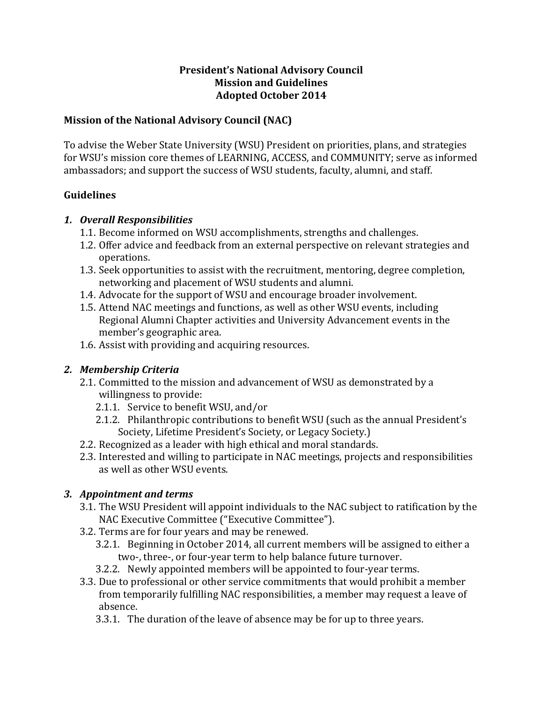#### **President's National Advisory Council Mission and Guidelines Adopted October 2014**

### **Mission of the National Advisory Council (NAC)**

To advise the Weber State University (WSU) President on priorities, plans, and strategies for WSU's mission core themes of LEARNING, ACCESS, and COMMUNITY; serve as informed ambassadors; and support the success of WSU students, faculty, alumni, and staff.

#### **Guidelines**

#### *1. Overall Responsibilities*

- 1.1. Become informed on WSU accomplishments, strengths and challenges.
- 1.2. Offer advice and feedback from an external perspective on relevant strategies and operations.
- 1.3. Seek opportunities to assist with the recruitment, mentoring, degree completion, networking and placement of WSU students and alumni.
- 1.4. Advocate for the support of WSU and encourage broader involvement.
- 1.5. Attend NAC meetings and functions, as well as other WSU events, including Regional Alumni Chapter activities and University Advancement events in the member's geographic area.
- 1.6. Assist with providing and acquiring resources.

## *2. Membership Criteria*

- 2.1. Committed to the mission and advancement of WSU as demonstrated by a willingness to provide:
	- 2.1.1. Service to benefit WSU, and/or
	- 2.1.2. Philanthropic contributions to benefit WSU (such as the annual President's Society, Lifetime President's Society, or Legacy Society.)
- 2.2. Recognized as a leader with high ethical and moral standards.
- 2.3. Interested and willing to participate in NAC meetings, projects and responsibilities as well as other WSU events.

## *3. Appointment and terms*

- 3.1. The WSU President will appoint individuals to the NAC subject to ratification by the NAC Executive Committee ("Executive Committee").
- 3.2. Terms are for four years and may be renewed.
	- 3.2.1. Beginning in October 2014, all current members will be assigned to either a two-, three-, or four-year term to help balance future turnover.
- 3.2.2. Newly appointed members will be appointed to four-year terms.
- 3.3. Due to professional or other service commitments that would prohibit a member from temporarily fulfilling NAC responsibilities, a member may request a leave of absence.
	- 3.3.1. The duration of the leave of absence may be for up to three years.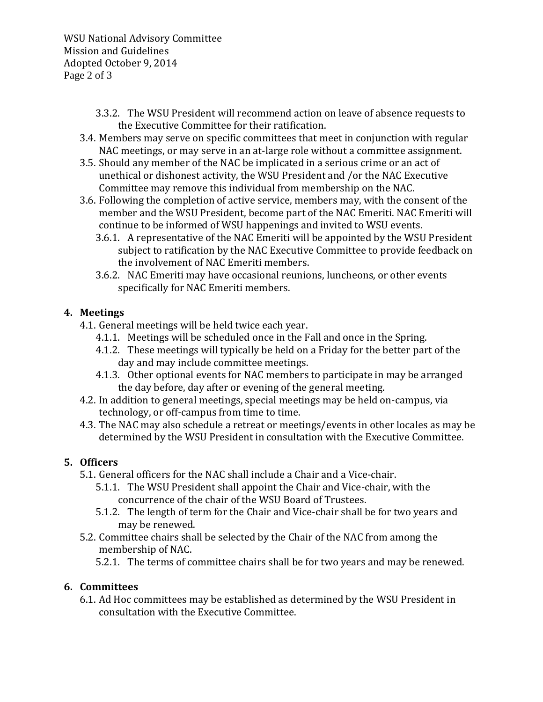WSU National Advisory Committee Mission and Guidelines Adopted October 9, 2014 Page 2 of 3

- 3.3.2. The WSU President will recommend action on leave of absence requests to the Executive Committee for their ratification.
- 3.4. Members may serve on specific committees that meet in conjunction with regular NAC meetings, or may serve in an at-large role without a committee assignment.
- 3.5. Should any member of the NAC be implicated in a serious crime or an act of unethical or dishonest activity, the WSU President and /or the NAC Executive Committee may remove this individual from membership on the NAC.
- 3.6. Following the completion of active service, members may, with the consent of the member and the WSU President, become part of the NAC Emeriti. NAC Emeriti will continue to be informed of WSU happenings and invited to WSU events.
	- 3.6.1. A representative of the NAC Emeriti will be appointed by the WSU President subject to ratification by the NAC Executive Committee to provide feedback on the involvement of NAC Emeriti members.
	- 3.6.2. NAC Emeriti may have occasional reunions, luncheons, or other events specifically for NAC Emeriti members.

## **4. Meetings**

- 4.1. General meetings will be held twice each year.
	- 4.1.1. Meetings will be scheduled once in the Fall and once in the Spring.
	- 4.1.2. These meetings will typically be held on a Friday for the better part of the day and may include committee meetings.
	- 4.1.3. Other optional events for NAC members to participate in may be arranged the day before, day after or evening of the general meeting.
- 4.2. In addition to general meetings, special meetings may be held on-campus, via technology, or off-campus from time to time.
- 4.3. The NAC may also schedule a retreat or meetings/events in other locales as may be determined by the WSU President in consultation with the Executive Committee.

# **5. Officers**

- 5.1. General officers for the NAC shall include a Chair and a Vice-chair.
	- 5.1.1. The WSU President shall appoint the Chair and Vice-chair, with the concurrence of the chair of the WSU Board of Trustees.
	- 5.1.2. The length of term for the Chair and Vice-chair shall be for two years and may be renewed.
- 5.2. Committee chairs shall be selected by the Chair of the NAC from among the membership of NAC.
	- 5.2.1. The terms of committee chairs shall be for two years and may be renewed.

# **6. Committees**

6.1. Ad Hoc committees may be established as determined by the WSU President in consultation with the Executive Committee.